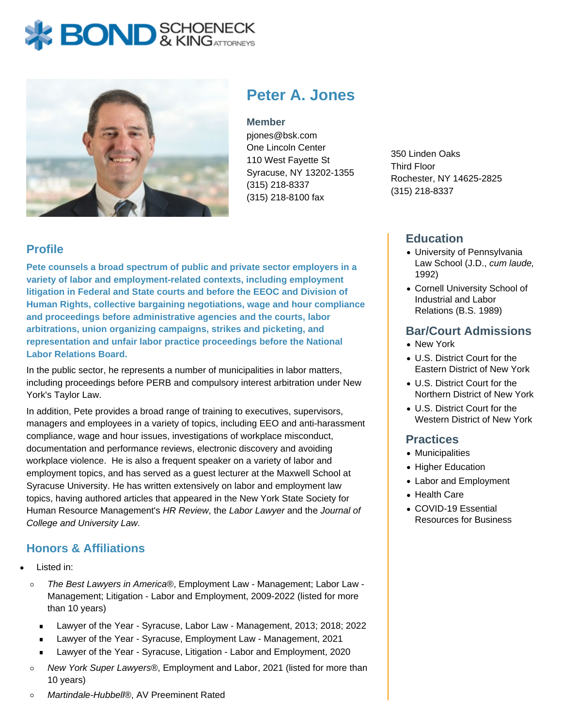# **BOND** & KINGATTORNECK



**Peter A. Jones**

#### **Member**

pjones@bsk.com One Lincoln Center 110 West Fayette St Syracuse, NY 13202-1355 (315) 218-8337 (315) 218-8100 fax

350 Linden Oaks Third Floor Rochester, NY 14625-2825 (315) 218-8337

## **Profile**

**Pete counsels a broad spectrum of public and private sector employers in a variety of labor and employment-related contexts, including employment litigation in Federal and State courts and before the EEOC and Division of Human Rights, collective bargaining negotiations, wage and hour compliance and proceedings before administrative agencies and the courts, labor arbitrations, union organizing campaigns, strikes and picketing, and representation and unfair labor practice proceedings before the National Labor Relations Board.**

In the public sector, he represents a number of municipalities in labor matters, including proceedings before PERB and compulsory interest arbitration under New York's Taylor Law.

In addition, Pete provides a broad range of training to executives, supervisors, managers and employees in a variety of topics, including EEO and anti-harassment compliance, wage and hour issues, investigations of workplace misconduct, documentation and performance reviews, electronic discovery and avoiding workplace violence. He is also a frequent speaker on a variety of labor and employment topics, and has served as a guest lecturer at the Maxwell School at Syracuse University. He has written extensively on labor and employment law topics, having authored articles that appeared in the New York State Society for Human Resource Management's HR Review, the Labor Lawyer and the Journal of College and University Law.

## **Honors & Affiliations**

- Listed in:
	- The Best Lawyers in America®, Employment Law Management; Labor Law  $\circ$ Management; Litigation - Labor and Employment, 2009-2022 (listed for more than 10 years)
		- Lawyer of the Year Syracuse, Labor Law Management, 2013; 2018; 2022  $\blacksquare$
		- Lawyer of the Year Syracuse, Employment Law Management, 2021
		- **EXECT** Lawyer of the Year Syracuse, Litigation Labor and Employment, 2020
	- New York Super Lawyers®, Employment and Labor, 2021 (listed for more than  $\circ$ 10 years)
- **Education**
- University of Pennsylvania Law School (J.D., cum laude, 1992)
- Cornell University School of Industrial and Labor Relations (B.S. 1989)

#### **Bar/Court Admissions**

- New York
- U.S. District Court for the Eastern District of New York
- U.S. District Court for the Northern District of New York
- U.S. District Court for the Western District of New York

#### **Practices**

- Municipalities
- Higher Education
- Labor and Employment
- Health Care
- COVID-19 Essential Resources for Business

 $\circ$ Martindale-Hubbell®, AV Preeminent Rated